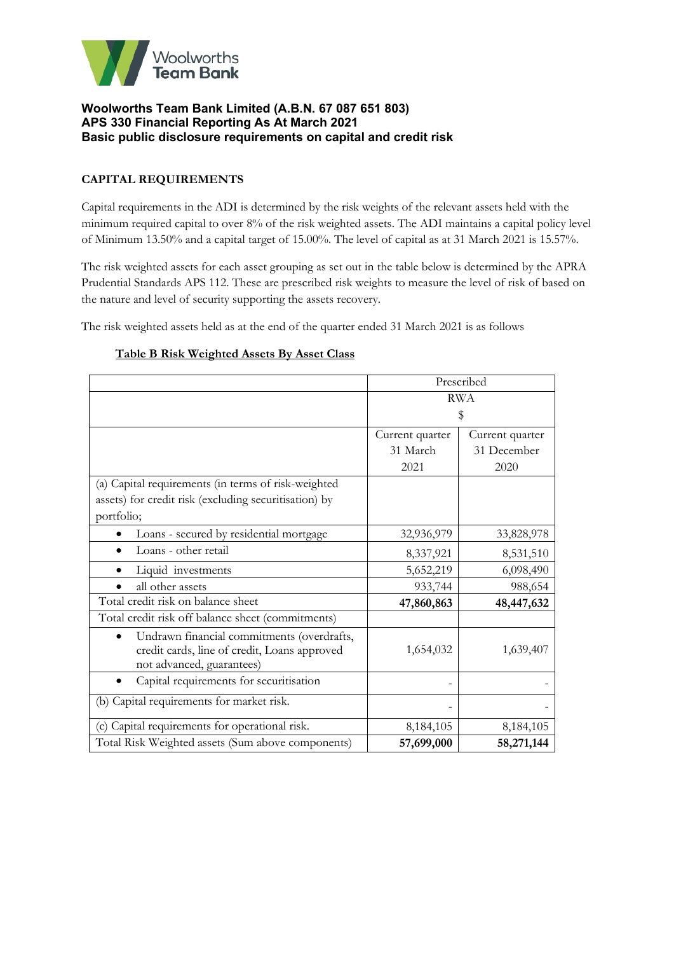

# **CAPITAL REQUIREMENTS**

Capital requirements in the ADI is determined by the risk weights of the relevant assets held with the minimum required capital to over 8% of the risk weighted assets. The ADI maintains a capital policy level of Minimum 13.50% and a capital target of 15.00%. The level of capital as at 31 March 2021 is 15.57%.

The risk weighted assets for each asset grouping as set out in the table below is determined by the APRA Prudential Standards APS 112. These are prescribed risk weights to measure the level of risk of based on the nature and level of security supporting the assets recovery.

The risk weighted assets held as at the end of the quarter ended 31 March 2021 is as follows

# **Table B Risk Weighted Assets By Asset Class**

|                                                                                                                         | Prescribed      |                 |  |
|-------------------------------------------------------------------------------------------------------------------------|-----------------|-----------------|--|
|                                                                                                                         | <b>RWA</b>      |                 |  |
|                                                                                                                         | \$              |                 |  |
|                                                                                                                         | Current quarter | Current quarter |  |
|                                                                                                                         | 31 March        | 31 December     |  |
|                                                                                                                         | 2021            | 2020            |  |
| (a) Capital requirements (in terms of risk-weighted                                                                     |                 |                 |  |
| assets) for credit risk (excluding securitisation) by                                                                   |                 |                 |  |
| portfolio;                                                                                                              |                 |                 |  |
| Loans - secured by residential mortgage                                                                                 | 32,936,979      | 33,828,978      |  |
| Loans - other retail                                                                                                    | 8,337,921       | 8,531,510       |  |
| Liquid investments                                                                                                      | 5,652,219       | 6,098,490       |  |
| all other assets                                                                                                        | 933,744         | 988,654         |  |
| Total credit risk on balance sheet                                                                                      | 47,860,863      | 48,447,632      |  |
| Total credit risk off balance sheet (commitments)                                                                       |                 |                 |  |
| Undrawn financial commitments (overdrafts,<br>credit cards, line of credit, Loans approved<br>not advanced, guarantees) | 1,654,032       | 1,639,407       |  |
| Capital requirements for securitisation                                                                                 |                 |                 |  |
| (b) Capital requirements for market risk.                                                                               |                 |                 |  |
| (c) Capital requirements for operational risk.                                                                          | 8,184,105       | 8,184,105       |  |
| Total Risk Weighted assets (Sum above components)                                                                       | 57,699,000      | 58,271,144      |  |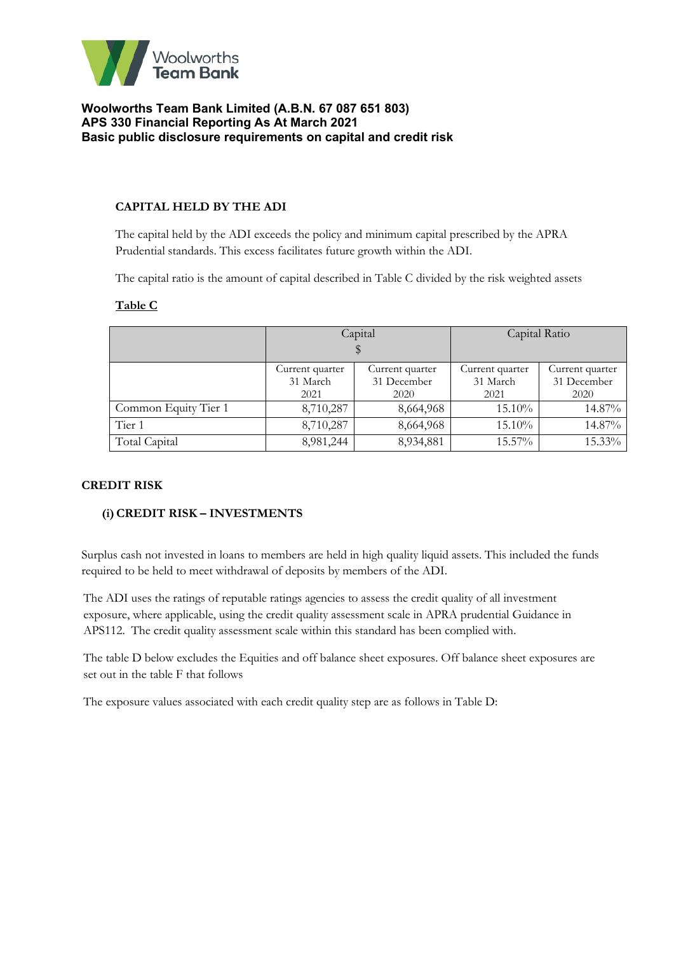

### **CAPITAL HELD BY THE ADI**

The capital held by the ADI exceeds the policy and minimum capital prescribed by the APRA Prudential standards. This excess facilitates future growth within the ADI.

The capital ratio is the amount of capital described in Table C divided by the risk weighted assets

#### **Table C**

|                      |                         | Capital         | Capital Ratio   |                 |  |
|----------------------|-------------------------|-----------------|-----------------|-----------------|--|
|                      |                         |                 |                 |                 |  |
|                      | Current quarter         | Current quarter | Current quarter | Current quarter |  |
|                      | 31 March<br>31 December |                 | 31 March        | 31 December     |  |
|                      | 2021<br>2020            |                 | 2021            | 2020            |  |
| Common Equity Tier 1 | 8,710,287               | 8,664,968       | $15.10\%$       | 14.87%          |  |
| Tier 1               | 8,710,287               | 8,664,968       | $15.10\%$       | 14.87%          |  |
| Total Capital        | 8,981,244               | 8,934,881       | $15.57\%$       | 15.33%          |  |

#### **CREDIT RISK**

#### **(i)CREDIT RISK – INVESTMENTS**

Surplus cash not invested in loans to members are held in high quality liquid assets. This included the funds required to be held to meet withdrawal of deposits by members of the ADI.

The ADI uses the ratings of reputable ratings agencies to assess the credit quality of all investment exposure, where applicable, using the credit quality assessment scale in APRA prudential Guidance in APS112. The credit quality assessment scale within this standard has been complied with.

The table D below excludes the Equities and off balance sheet exposures. Off balance sheet exposures are set out in the table F that follows

The exposure values associated with each credit quality step are as follows in Table D: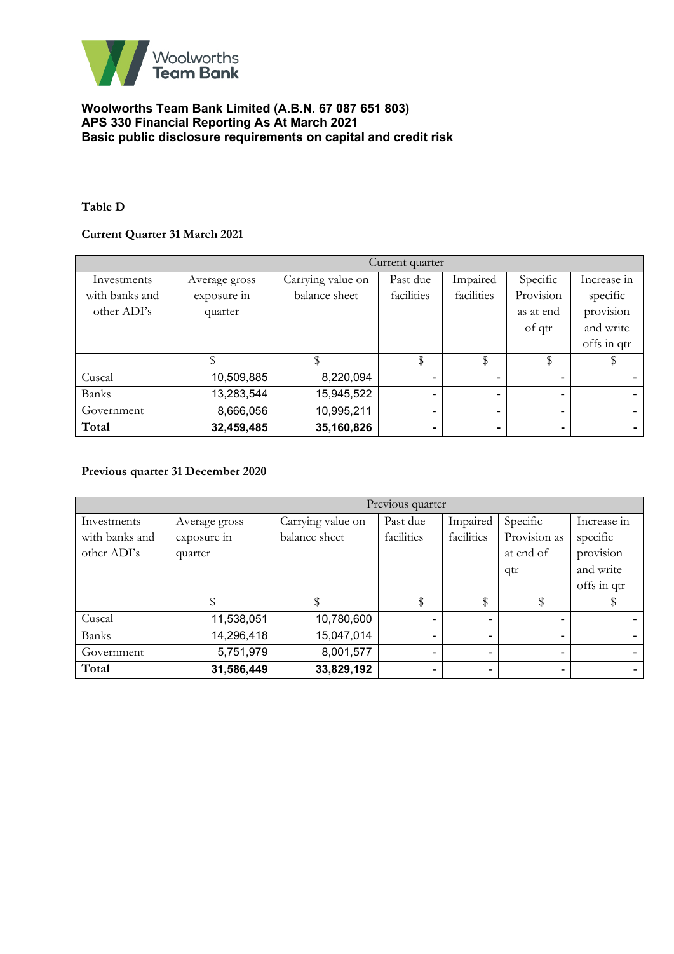

## **Table D**

# **Current Quarter 31 March 2021**

|                | Current quarter |                   |                          |                          |                |                |
|----------------|-----------------|-------------------|--------------------------|--------------------------|----------------|----------------|
| Investments    | Average gross   | Carrying value on | Past due                 | Impaired                 | Specific       | Increase in    |
| with banks and | exposure in     | balance sheet     | facilities               | facilities               | Provision      | specific       |
| other ADI's    | quarter         |                   |                          |                          | as at end      | provision      |
|                |                 |                   |                          |                          | of qtr         | and write      |
|                |                 |                   |                          |                          |                | offs in qtr    |
|                |                 |                   | \$                       | \$                       | \$             |                |
| Cuscal         | 10,509,885      | 8,220,094         |                          |                          | ۰              |                |
| <b>Banks</b>   | 13,283,544      | 15,945,522        | $\overline{\phantom{0}}$ | $\overline{\phantom{a}}$ | $\sim$         | $\blacksquare$ |
| Government     | 8,666,056       | 10,995,211        |                          |                          | ۰              |                |
| Total          | 32,459,485      | 35,160,826        |                          |                          | $\blacksquare$ |                |

# **Previous quarter 31 December 2020**

|                | Previous quarter |                   |            |            |              |             |  |
|----------------|------------------|-------------------|------------|------------|--------------|-------------|--|
| Investments    | Average gross    | Carrying value on | Past due   | Impaired   | Specific     | Increase in |  |
| with banks and | exposure in      | balance sheet     | facilities | facilities | Provision as | specific    |  |
| other ADI's    | quarter          |                   |            |            | at end of    | provision   |  |
|                |                  |                   |            |            | qtr          | and write   |  |
|                |                  |                   |            |            |              | offs in qtr |  |
|                |                  |                   | \$         | \$         |              |             |  |
| Cuscal         | 11,538,051       | 10,780,600        |            |            | ۰            |             |  |
| <b>Banks</b>   | 14,296,418       | 15,047,014        |            |            | ۰            |             |  |
| Government     | 5,751,979        | 8,001,577         |            |            | ۰            |             |  |
| Total          | 31,586,449       | 33,829,192        |            |            | ۰            | $\sim$      |  |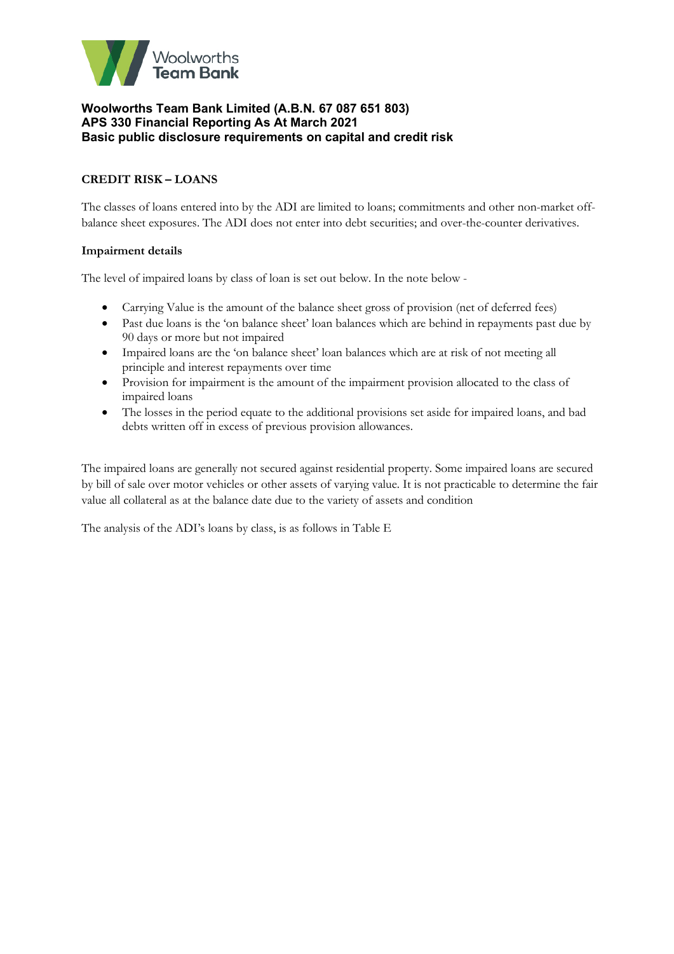

# **CREDIT RISK – LOANS**

The classes of loans entered into by the ADI are limited to loans; commitments and other non-market offbalance sheet exposures. The ADI does not enter into debt securities; and over-the-counter derivatives.

### **Impairment details**

The level of impaired loans by class of loan is set out below. In the note below -

- Carrying Value is the amount of the balance sheet gross of provision (net of deferred fees)
- Past due loans is the 'on balance sheet' loan balances which are behind in repayments past due by 90 days or more but not impaired
- Impaired loans are the 'on balance sheet' loan balances which are at risk of not meeting all principle and interest repayments over time
- Provision for impairment is the amount of the impairment provision allocated to the class of impaired loans
- The losses in the period equate to the additional provisions set aside for impaired loans, and bad debts written off in excess of previous provision allowances.

The impaired loans are generally not secured against residential property. Some impaired loans are secured by bill of sale over motor vehicles or other assets of varying value. It is not practicable to determine the fair value all collateral as at the balance date due to the variety of assets and condition

The analysis of the ADI's loans by class, is as follows in Table E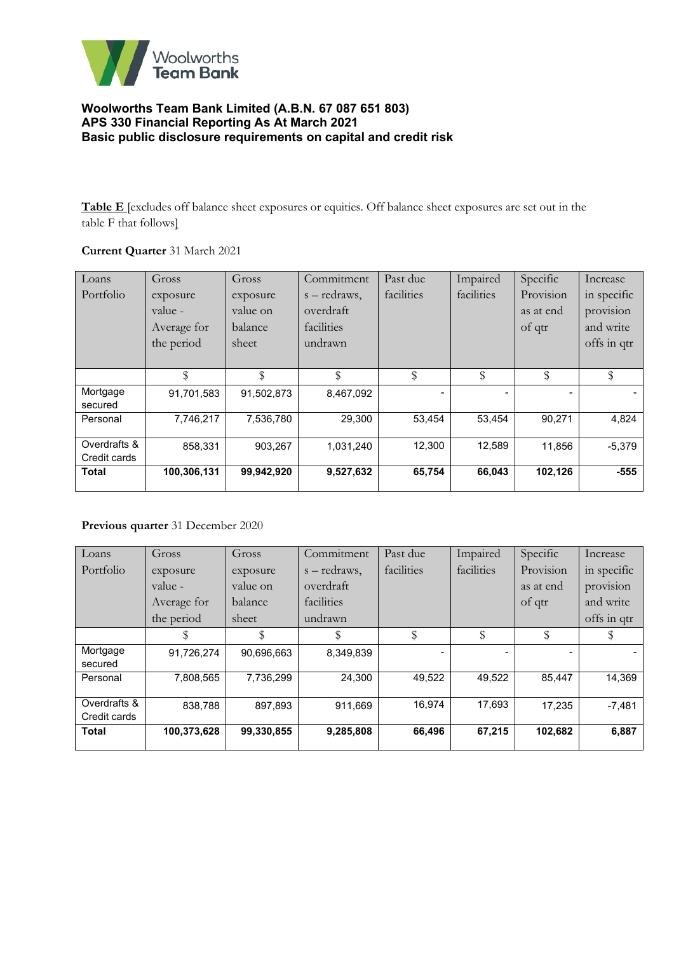

**Table E** [excludes off balance sheet exposures or equities. Off balance sheet exposures are set out in the table F that follows]

# **Current Quarter** 31 March 2021

| Loans        | Gross       | Gross      | Commitment   | Past due   | Impaired   | Specific  | Increase    |
|--------------|-------------|------------|--------------|------------|------------|-----------|-------------|
| Portfolio    | exposure    | exposure   | s – redraws, | facilities | facilities | Provision | in specific |
|              | value -     | value on   | overdraft    |            |            | as at end | provision   |
|              | Average for | balance    | facilities   |            |            | of qtr    | and write   |
|              | the period  | sheet      | undrawn      |            |            |           | offs in qtr |
|              |             |            |              |            |            |           |             |
|              | \$          | \$         | \$           | \$         | \$         | \$        | \$          |
| Mortgage     | 91,701,583  | 91,502,873 | 8,467,092    |            |            |           |             |
| secured      |             |            |              |            |            |           |             |
| Personal     | 7,746,217   | 7,536,780  | 29,300       | 53,454     | 53,454     | 90,271    | 4,824       |
|              |             |            |              |            |            |           |             |
| Overdrafts & | 858,331     | 903,267    | 1,031,240    | 12,300     | 12,589     | 11,856    | $-5,379$    |
| Credit cards |             |            |              |            |            |           |             |
| <b>Total</b> | 100,306,131 | 99,942,920 | 9,527,632    | 65,754     | 66,043     | 102,126   | $-555$      |
|              |             |            |              |            |            |           |             |

### **Previous quarter** 31 December 2020

| Loans        | Gross       | Gross      | Commitment      | Past due   | Impaired   | Specific  | Increase    |
|--------------|-------------|------------|-----------------|------------|------------|-----------|-------------|
| Portfolio    | exposure    | exposure   | $s - redraws$ . | facilities | facilities | Provision | in specific |
|              | value -     | value on   | overdraft       |            |            | as at end | provision   |
|              | Average for | balance    | facilities      |            |            | of qtr    | and write   |
|              | the period  | sheet      | undrawn         |            |            |           | offs in qtr |
|              |             | \$         | \$              | \$         | \$         |           |             |
| Mortgage     | 91.726.274  | 90,696,663 | 8,349,839       |            |            |           |             |
| secured      |             |            |                 |            |            |           |             |
| Personal     | 7,808,565   | 7,736,299  | 24.300          | 49,522     | 49,522     | 85,447    | 14,369      |
|              |             |            |                 |            |            |           |             |
| Overdrafts & | 838,788     | 897,893    | 911,669         | 16.974     | 17,693     | 17.235    | $-7,481$    |
| Credit cards |             |            |                 |            |            |           |             |
| <b>Total</b> | 100,373,628 | 99,330,855 | 9,285,808       | 66,496     | 67,215     | 102,682   | 6,887       |
|              |             |            |                 |            |            |           |             |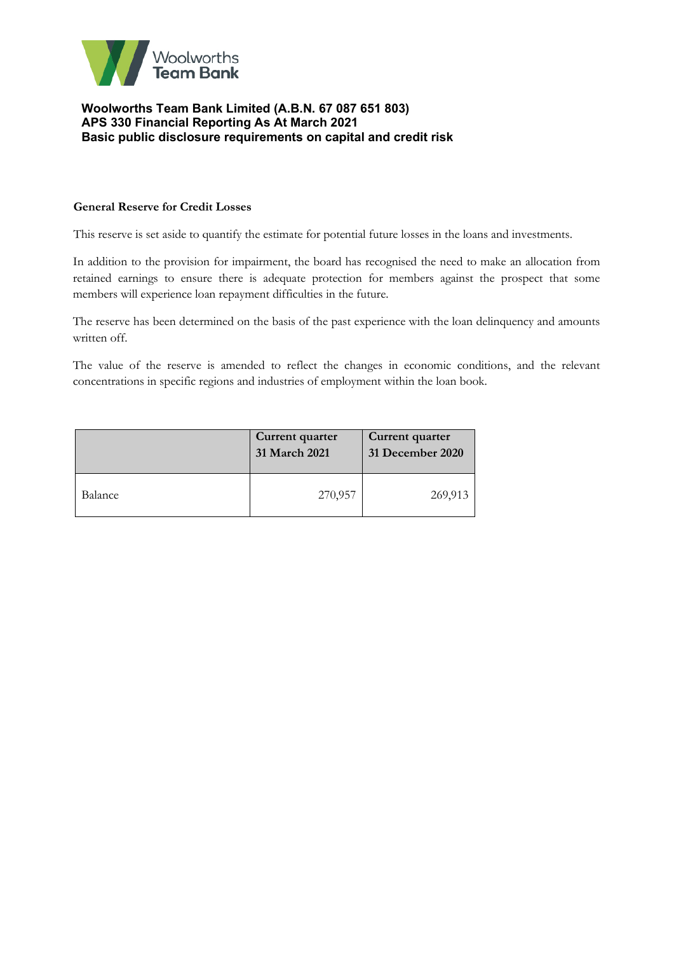

### **General Reserve for Credit Losses**

This reserve is set aside to quantify the estimate for potential future losses in the loans and investments.

In addition to the provision for impairment, the board has recognised the need to make an allocation from retained earnings to ensure there is adequate protection for members against the prospect that some members will experience loan repayment difficulties in the future.

The reserve has been determined on the basis of the past experience with the loan delinquency and amounts written off.

The value of the reserve is amended to reflect the changes in economic conditions, and the relevant concentrations in specific regions and industries of employment within the loan book.

|         | Current quarter<br>31 March 2021 | Current quarter<br>31 December 2020 |
|---------|----------------------------------|-------------------------------------|
| Balance | 270,957                          | 269,913                             |